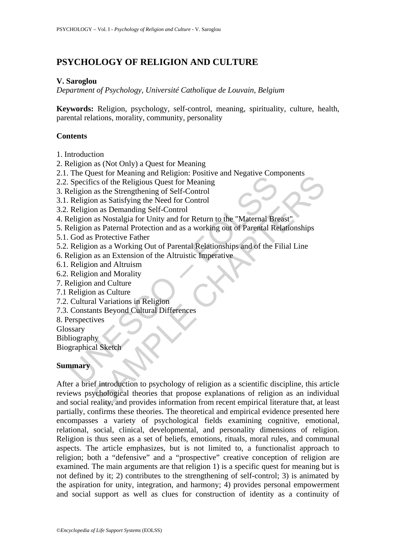# **PSYCHOLOGY OF RELIGION AND CULTURE**

## **V. Saroglou**

*Department of Psychology, Université Catholique de Louvain, Belgium* 

**Keywords:** Religion, psychology, self-control, meaning, spirituality, culture, health, parental relations, morality, community, personality

# **Contents**

- 1. Introduction
- 2. Religion as (Not Only) a Quest for Meaning
- 2.1. The Quest for Meaning and Religion: Positive and Negative Components
- 2.2. Specifics of the Religious Quest for Meaning
- 3. Religion as the Strengthening of Self-Control
- 3.1. Religion as Satisfying the Need for Control
- 3.2. Religion as Demanding Self-Control
- The Secretics of the Religious Quest for Meaning<br>Specifics of the Religious Quest for Meaning<br>eligion as the Strengthening of Self-Control<br>Religion as Tostalgia for Unity and for Return to the "Maternal Bre<br>eligion as Nost 4. Religion as Nostalgia for Unity and for Return to the "Maternal Breast"
- 5. Religion as Paternal Protection and as a working out of Parental Relationships
- 5.1. God as Protective Father
- 5.2. Religion as a Working Out of Parental Relationships and of the Filial Line
- 6. Religion as an Extension of the Altruistic Imperative
- 6.1. Religion and Altruism
- 6.2. Religion and Morality
- 7. Religion and Culture
- 7.1 Religion as Culture
- 7.2. Cultural Variations in Religion
- 7.3. Constants Beyond Cultural Differences
- 8. Perspectives
- Glossary
- Bibliography
- Biographical Sketch

## **Summary**

Exercit concerning an acceptor of Meaning and Control and Superinters (i.e. of the Religious Quest for Meaning<br>as the Strengthening of Self-Control<br>an as Destanding Self-Control<br>as Nostalgia for Unity and for Return to the After a brief introduction to psychology of religion as a scientific discipline, this article reviews psychological theories that propose explanations of religion as an individual and social reality, and provides information from recent empirical literature that, at least partially, confirms these theories. The theoretical and empirical evidence presented here encompasses a variety of psychological fields examining cognitive, emotional, relational, social, clinical, developmental, and personality dimensions of religion. Religion is thus seen as a set of beliefs, emotions, rituals, moral rules, and communal aspects. The article emphasizes, but is not limited to, a functionalist approach to religion; both a "defensive" and a "prospective" creative conception of religion are examined. The main arguments are that religion 1) is a specific quest for meaning but is not defined by it; 2) contributes to the strengthening of self-control; 3) is animated by the aspiration for unity, integration, and harmony; 4) provides personal empowerment and social support as well as clues for construction of identity as a continuity of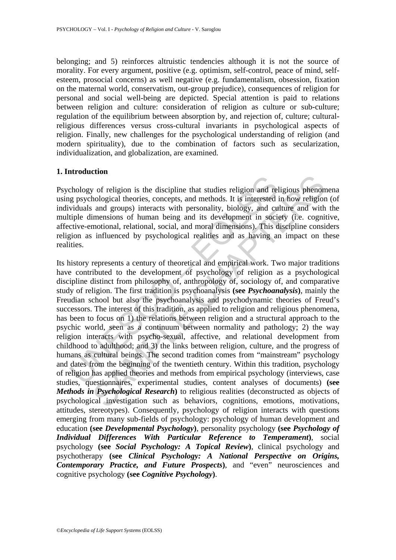belonging; and 5) reinforces altruistic tendencies although it is not the source of morality. For every argument, positive (e.g. optimism, self-control, peace of mind, selfesteem, prosocial concerns) as well negative (e.g. fundamentalism, obsession, fixation on the maternal world, conservatism, out-group prejudice), consequences of religion for personal and social well-being are depicted. Special attention is paid to relations between religion and culture: consideration of religion as culture or sub-culture; regulation of the equilibrium between absorption by, and rejection of, culture; culturalreligious differences versus cross-cultural invariants in psychological aspects of religion. Finally, new challenges for the psychological understanding of religion (and modern spirituality), due to the combination of factors such as secularization, individualization, and globalization, are examined.

#### **1. Introduction**

Psychology of religion is the discipline that studies religion and religious phenomena using psychological theories, concepts, and methods. It is interested in how religion (of individuals and groups) interacts with personality, biology, and culture and with the multiple dimensions of human being and its development in society (i.e. cognitive, affective-emotional, relational, social, and moral dimensions). This discipline considers religion as influenced by psychological realities and as having an impact on these realities.

chology of religion is the discipline that studies religion and religions and propary interacts with personality, biology, and cuidals and groups) interacts with personality, biology, and cuidal entineled intensions of hum **SAMPLE THE CONDUCT CONDUCT CONDUCT** of **P** and **C** and **C** and **C** and **C** and **C** and **E** and groups) interacts with personality, biology, and culture and with imensions of human being and its development in society (i.e Its history represents a century of theoretical and empirical work. Two major traditions have contributed to the development of psychology of religion as a psychological discipline distinct from philosophy of, anthropology of, sociology of, and comparative study of religion. The first tradition is psychoanalysis **(see** *Psychoanalysis***)**, mainly the Freudian school but also the psychoanalysis and psychodynamic theories of Freud's successors. The interest of this tradition, as applied to religion and religious phenomena, has been to focus on 1) the relations between religion and a structural approach to the psychic world, seen as a continuum between normality and pathology; 2) the way religion interacts with psycho-sexual, affective, and relational development from childhood to adulthood; and 3) the links between religion, culture, and the progress of humans as cultural beings. The second tradition comes from "mainstream" psychology and dates from the beginning of the twentieth century. Within this tradition, psychology of religion has applied theories and methods from empirical psychology (interviews, case studies, questionnaires, experimental studies, content analyses of documents) **(see**  *Methods in Psychological Research***)** to religious realities (deconstructed as objects of psychological investigation such as behaviors, cognitions, emotions, motivations, attitudes, stereotypes). Consequently, psychology of religion interacts with questions emerging from many sub-fields of psychology: psychology of human development and education **(see** *Developmental Psychology***)**, personality psychology **(see** *Psychology of Individual Differences With Particular Reference to Temperament***)**, social psychology **(see** *Social Psychology: A Topical Review***)**, clinical psychology and psychotherapy **(see** *Clinical Psychology: A National Perspective on Origins, Contemporary Practice, and Future Prospects***)**, and "even" neurosciences and cognitive psychology **(see** *Cognitive Psychology***)**.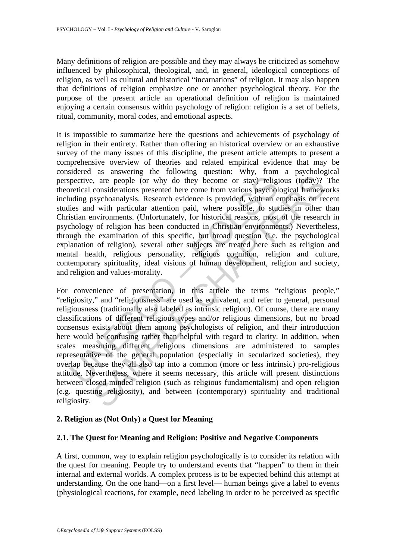Many definitions of religion are possible and they may always be criticized as somehow influenced by philosophical, theological, and, in general, ideological conceptions of religion, as well as cultural and historical "incarnations" of religion. It may also happen that definitions of religion emphasize one or another psychological theory. For the purpose of the present article an operational definition of religion is maintained enjoying a certain consensus within psychology of religion: religion is a set of beliefs, ritual, community, moral codes, and emotional aspects.

pective, are people (or why do they become or stay) religited<br>considerations presented here come from various psychol<br>ding psychoanalysis. Research evidence is provided, with an e<br>lies and with particular attention paid, w It is impossible to summarize here the questions and achievements of psychology of religion in their entirety. Rather than offering an historical overview or an exhaustive survey of the many issues of this discipline, the present article attempts to present a comprehensive overview of theories and related empirical evidence that may be considered as answering the following question: Why, from a psychological perspective, are people (or why do they become or stay) religious (today)? The theoretical considerations presented here come from various psychological frameworks including psychoanalysis. Research evidence is provided, with an emphasis on recent studies and with particular attention paid, where possible, to studies in other than Christian environments. (Unfortunately, for historical reasons, most of the research in psychology of religion has been conducted in Christian environments.) Nevertheless, through the examination of this specific, but broad question (i.e. the psychological explanation of religion), several other subjects are treated here such as religion and mental health, religious personality, religious cognition, religion and culture, contemporary spirituality, ideal visions of human development, religion and society, and religion and values-morality.

be, are people (or why do they become or stay) religious (today)?<br>
considerations presented here come from various psychological framew<br>
sysychonalysis. Research evidence is provided, with an emphasion or<br>
al with particul For convenience of presentation, in this article the terms "religious people," "religiosity," and "religiousness" are used as equivalent, and refer to general, personal religiousness (traditionally also labeled as intrinsic religion). Of course, there are many classifications of different religious types and/or religious dimensions, but no broad consensus exists about them among psychologists of religion, and their introduction here would be confusing rather than helpful with regard to clarity. In addition, when scales measuring different religious dimensions are administered to samples representative of the general population (especially in secularized societies), they overlap because they all also tap into a common (more or less intrinsic) pro-religious attitude. Nevertheless, where it seems necessary, this article will present distinctions between closed-minded religion (such as religious fundamentalism) and open religion (e.g. questing religiosity), and between (contemporary) spirituality and traditional religiosity.

## **2. Religion as (Not Only) a Quest for Meaning**

#### **2.1. The Quest for Meaning and Religion: Positive and Negative Components**

A first, common, way to explain religion psychologically is to consider its relation with the quest for meaning. People try to understand events that "happen" to them in their internal and external worlds. A complex process is to be expected behind this attempt at understanding. On the one hand—on a first level— human beings give a label to events (physiological reactions, for example, need labeling in order to be perceived as specific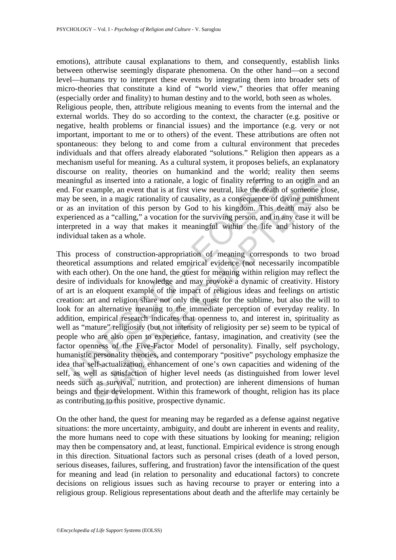emotions), attribute causal explanations to them, and consequently, establish links between otherwise seemingly disparate phenomena. On the other hand—on a second level—humans try to interpret these events by integrating them into broader sets of micro-theories that constitute a kind of "world view," theories that offer meaning (especially order and finality) to human destiny and to the world, both seen as wholes.

Religious people, then, attribute religious meaning to events from the internal and the external worlds. They do so according to the context, the character (e.g. positive or negative, health problems or financial issues) and the importance (e.g. very or not important, important to me or to others) of the event. These attributions are often not spontaneous: they belong to and come from a cultural environment that precedes individuals and that offers already elaborated "solutions." Religion then appears as a mechanism useful for meaning. As a cultural system, it proposes beliefs, an explanatory discourse on reality, theories on humankind and the world; reality then seems meaningful as inserted into a rationale, a logic of finality referring to an origin and an end. For example, an event that is at first view neutral, like the death of someone close, may be seen, in a magic rationality of causality, as a consequence of divine punishment or as an invitation of this person by God to his kingdom. This death may also be experienced as a "calling," a vocation for the surviving person, and in any case it will be interpreted in a way that makes it meaningful within the life and history of the individual taken as a whole.

ningful as inserted into a rationale, a logic of finality referring that is a first view neutral, like the death be seen, in a magic rationality of causality, as a consequence of is an invitation of this person by God to h In as inserted into a rationale, a logic of finality referring to an origin and<br>angule, an event that is at first view neutral, like the death of someone cl<br>n, in a magic rationality of causality, as a consequence of divin This process of construction-appropriation of meaning corresponds to two broad theoretical assumptions and related empirical evidence (not necessarily incompatible with each other). On the one hand, the quest for meaning within religion may reflect the desire of individuals for knowledge and may provoke a dynamic of creativity. History of art is an eloquent example of the impact of religious ideas and feelings on artistic creation: art and religion share not only the quest for the sublime, but also the will to look for an alternative meaning to the immediate perception of everyday reality. In addition, empirical research indicates that openness to, and interest in, spirituality as well as "mature" religiosity (but not intensity of religiosity per se) seem to be typical of people who are also open to experience, fantasy, imagination, and creativity (see the factor openness of the Five-Factor Model of personality). Finally, self psychology, humanistic personality theories, and contemporary "positive" psychology emphasize the idea that self-actualization, enhancement of one's own capacities and widening of the self, as well as satisfaction of higher level needs (as distinguished from lower level needs such as survival, nutrition, and protection) are inherent dimensions of human beings and their development. Within this framework of thought, religion has its place as contributing to this positive, prospective dynamic.

On the other hand, the quest for meaning may be regarded as a defense against negative situations: the more uncertainty, ambiguity, and doubt are inherent in events and reality, the more humans need to cope with these situations by looking for meaning; religion may then be compensatory and, at least, functional. Empirical evidence is strong enough in this direction. Situational factors such as personal crises (death of a loved person, serious diseases, failures, suffering, and frustration) favor the intensification of the quest for meaning and lead (in relation to personality and educational factors) to concrete decisions on religious issues such as having recourse to prayer or entering into a religious group. Religious representations about death and the afterlife may certainly be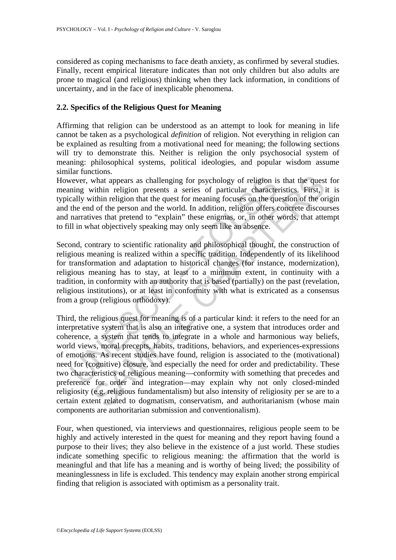considered as coping mechanisms to face death anxiety, as confirmed by several studies. Finally, recent empirical literature indicates than not only children but also adults are prone to magical (and religious) thinking when they lack information, in conditions of uncertainty, and in the face of inexplicable phenomena.

#### **2.2. Specifics of the Religious Quest for Meaning**

Affirming that religion can be understood as an attempt to look for meaning in life cannot be taken as a psychological *definition* of religion. Not everything in religion can be explained as resulting from a motivational need for meaning; the following sections will try to demonstrate this. Neither is religion the only psychosocial system of meaning: philosophical systems, political ideologies, and popular wisdom assume similar functions.

However, what appears as challenging for psychology of religion is that the quest for meaning within religion presents a series of particular characteristics. First, it is typically within religion that the quest for meaning focuses on the question of the origin and the end of the person and the world. In addition, religion offers concrete discourses and narratives that pretend to "explain" these enigmas, or, in other words, that attempt to fill in what objectively speaking may only seem like an absence.

Second, contrary to scientific rationality and philosophical thought, the construction of religious meaning is realized within a specific tradition. Independently of its likelihood for transformation and adaptation to historical changes (for instance, modernization), religious meaning has to stay, at least to a minimum extent, in continuity with a tradition, in conformity with an authority that is based (partially) on the past (revelation, religious institutions), or at least in conformity with what is extricated as a consensus from a group (religious orthodoxy).

wever, what appears as challenging for psychology of religion is<br>ning within religion presents a series of particular character<br>cally within religion that the quest for meaning focuses on the que<br>the end of the person and what appears as challenging for psychology of religion is that the quest<br>what appears as challenging for psychology of religion is that the quest<br>orithin religion that the quest for meaning focuses on the question of the o Third, the religious quest for meaning is of a particular kind: it refers to the need for an interpretative system that is also an integrative one, a system that introduces order and coherence, a system that tends to integrate in a whole and harmonious way beliefs, world views, moral precepts, habits, traditions, behaviors, and experiences-expressions of emotions. As recent studies have found, religion is associated to the (motivational) need for (cognitive) closure, and especially the need for order and predictability. These two characteristics of religious meaning—conformity with something that precedes and preference for order and integration—may explain why not only closed-minded religiosity (e.g. religious fundamentalism) but also intensity of religiosity per se are to a certain extent related to dogmatism, conservatism, and authoritarianism (whose main components are authoritarian submission and conventionalism).

Four, when questioned, via interviews and questionnaires, religious people seem to be highly and actively interested in the quest for meaning and they report having found a purpose to their lives; they also believe in the existence of a just world. These studies indicate something specific to religious meaning: the affirmation that the world is meaningful and that life has a meaning and is worthy of being lived; the possibility of meaninglessness in life is excluded. This tendency may explain another strong empirical finding that religion is associated with optimism as a personality trait.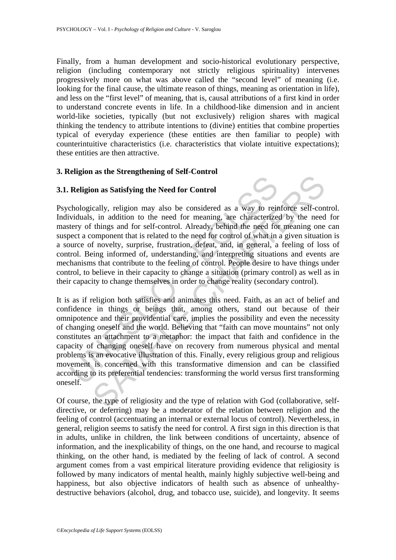Finally, from a human development and socio-historical evolutionary perspective, religion (including contemporary not strictly religious spirituality) intervenes progressively more on what was above called the "second level" of meaning (i.e. looking for the final cause, the ultimate reason of things, meaning as orientation in life), and less on the "first level" of meaning, that is, causal attributions of a first kind in order to understand concrete events in life. In a childhood-like dimension and in ancient world-like societies, typically (but not exclusively) religion shares with magical thinking the tendency to attribute intentions to (divine) entities that combine properties typical of everyday experience (these entities are then familiar to people) with counterintuitive characteristics (i.e. characteristics that violate intuitive expectations); these entities are then attractive.

## **3. Religion as the Strengthening of Self-Control**

#### **3.1. Religion as Satisfying the Need for Control**

Psychologically, religion may also be considered as a way to reinforce self-control. Individuals, in addition to the need for meaning, are characterized by the need for mastery of things and for self-control. Already, behind the need for meaning one can suspect a component that is related to the need for control of what in a given situation is a source of novelty, surprise, frustration, defeat, and, in general, a feeling of loss of control. Being informed of, understanding, and interpreting situations and events are mechanisms that contribute to the feeling of control. People desire to have things under control, to believe in their capacity to change a situation (primary control) as well as in their capacity to change themselves in order to change reality (secondary control).

**Religion as Satisfying the Need for Control**<br>chologically, religion may also be considered as a way to reividuals, in addition to the need for meaning, are characterize<br>tery of things and for self-control. Already, behind In an statisfying the Need for Control<br>cally, religion may also be considered as a way to reinforce self-con-<br>i, in addition to the need for meaning, are characterized by the need<br>things and for self-control. Already, behi It is as if religion both satisfies and animates this need. Faith, as an act of belief and confidence in things or beings that, among others, stand out because of their omnipotence and their providential care, implies the possibility and even the necessity of changing oneself and the world. Believing that "faith can move mountains" not only constitutes an attachment to a metaphor: the impact that faith and confidence in the capacity of changing oneself have on recovery from numerous physical and mental problems is an evocative illustration of this. Finally, every religious group and religious movement is concerned with this transformative dimension and can be classified according to its preferential tendencies: transforming the world versus first transforming oneself.

Of course, the type of religiosity and the type of relation with God (collaborative, selfdirective, or deferring) may be a moderator of the relation between religion and the feeling of control (accentuating an internal or external locus of control). Nevertheless, in general, religion seems to satisfy the need for control. A first sign in this direction is that in adults, unlike in children, the link between conditions of uncertainty, absence of information, and the inexplicability of things, on the one hand, and recourse to magical thinking, on the other hand, is mediated by the feeling of lack of control. A second argument comes from a vast empirical literature providing evidence that religiosity is followed by many indicators of mental health, mainly highly subjective well-being and happiness, but also objective indicators of health such as absence of unhealthydestructive behaviors (alcohol, drug, and tobacco use, suicide), and longevity. It seems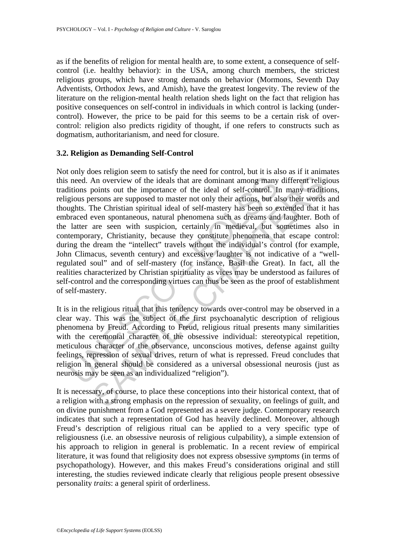as if the benefits of religion for mental health are, to some extent, a consequence of selfcontrol (i.e. healthy behavior): in the USA, among church members, the strictest religious groups, which have strong demands on behavior (Mormons, Seventh Day Adventists, Orthodox Jews, and Amish), have the greatest longevity. The review of the literature on the religion-mental health relation sheds light on the fact that religion has positive consequences on self-control in individuals in which control is lacking (undercontrol). However, the price to be paid for this seems to be a certain risk of overcontrol: religion also predicts rigidity of thought, if one refers to constructs such as dogmatism, authoritarianism, and need for closure.

#### **3.2. Religion as Demanding Self-Control**

need. An overview of the ideals that are dominant among many<br>itions points out the importance of the ideal of self-control. In<br>gious persons are supposed to master not only their actions, but al<br>ghts. The Christian spiritu An overview of the ideals that are dominant among many different religions out the importance of the ideal of self-control. In many traditions are supposed to master not only their actions, but also their words are non-con Not only does religion seem to satisfy the need for control, but it is also as if it animates this need. An overview of the ideals that are dominant among many different religious traditions points out the importance of the ideal of self-control. In many traditions, religious persons are supposed to master not only their actions, but also their words and thoughts. The Christian spiritual ideal of self-mastery has been so extended that it has embraced even spontaneous, natural phenomena such as dreams and laughter. Both of the latter are seen with suspicion, certainly in medieval, but sometimes also in contemporary, Christianity, because they constitute phenomena that escape control: during the dream the "intellect" travels without the individual's control (for example, John Climacus, seventh century) and excessive laughter is not indicative of a "wellregulated soul" and of self-mastery (for instance, Basil the Great). In fact, all the realities characterized by Christian spirituality as vices may be understood as failures of self-control and the corresponding virtues can thus be seen as the proof of establishment of self-mastery.

It is in the religious ritual that this tendency towards over-control may be observed in a clear way. This was the subject of the first psychoanalytic description of religious phenomena by Freud. According to Freud, religious ritual presents many similarities with the ceremonial character of the obsessive individual: stereotypical repetition, meticulous character of the observance, unconscious motives, defense against guilty feelings, repression of sexual drives, return of what is repressed. Freud concludes that religion in general should be considered as a universal obsessional neurosis (just as neurosis may be seen as an individualized "religion").

It is necessary, of course, to place these conceptions into their historical context, that of a religion with a strong emphasis on the repression of sexuality, on feelings of guilt, and on divine punishment from a God represented as a severe judge. Contemporary research indicates that such a representation of God has heavily declined. Moreover, although Freud's description of religious ritual can be applied to a very specific type of religiousness (i.e. an obsessive neurosis of religious culpability), a simple extension of his approach to religion in general is problematic. In a recent review of empirical literature, it was found that religiosity does not express obsessive *symptoms* (in terms of psychopathology). However, and this makes Freud's considerations original and still interesting, the studies reviewed indicate clearly that religious people present obsessive personality *traits*: a general spirit of orderliness.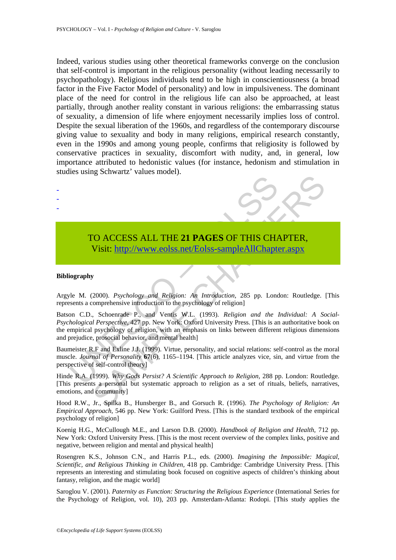Indeed, various studies using other theoretical frameworks converge on the conclusion that self-control is important in the religious personality (without leading necessarily to psychopathology). Religious individuals tend to be high in conscientiousness (a broad factor in the Five Factor Model of personality) and low in impulsiveness. The dominant place of the need for control in the religious life can also be approached, at least partially, through another reality constant in various religions: the embarrassing status of sexuality, a dimension of life where enjoyment necessarily implies loss of control. Despite the sexual liberation of the 1960s, and regardless of the contemporary discourse giving value to sexuality and body in many religions, empirical research constantly, even in the 1990s and among young people, confirms that religiosity is followed by conservative practices in sexuality, discomfort with nudity, and, in general, low importance attributed to hedonistic values (for instance, hedonism and stimulation in studies using Schwartz' values model).



# TO ACCESS ALL THE **21 PAGES** OF THIS CHAPTER, Visit: http://www.eolss.net/Eolss-sampleAllChapter.aspx

#### **Bibliography**

- - -

Argyle M. (2000). *Psychology and Religion: An Introduction,* 285 pp. London: Routledge. [This represents a comprehensive introduction to the psychology of religion]

TO ACCESS ALL THE 21 PAGES OF THIS CHANNEL Visit: http://www.eolss.net/Eolss-sample All Chapter Visit: http://www.eolss.net/Eolss-sample All Chapter injections are the M. (2000). *Psychology and Religion: An Introduction*, CO ACCESS ALL THE 21 PAGES OF THIS CH[APT](https://www.eolss.net/ebooklib/sc_cart.aspx?File=E6-27-02-05)ER,<br>
Visit: http://www.eolss.net/Eolss-sampleAllChapter.aspx<br>
y<br>
y<br>
y<br>
(2000). *Psychology and Religion: An Introduction*, 285 pp. London: Routledge.<br>
comprehensive introduction to Batson C.D., Schoenrade P., and Ventis W.L. (1993). *Religion and the Individual: A Social-Psychological Perspective,* 427 pp. New York: Oxford University Press. [This is an authoritative book on the empirical psychology of religion, with an emphasis on links between different religious dimensions and prejudice, prosocial behavior, and mental health]

Baumeister R.F and Exline J.J. (1999). Virtue, personality, and social relations: self-control as the moral muscle. *Journal of Personality* **67**(6), 1165–1194. [This article analyzes vice, sin, and virtue from the perspective of self-control theory]

Hinde R.A. (1999). *Why Gods Persist? A Scientific Approach to Religion,* 288 pp. London: Routledge. [This presents a personal but systematic approach to religion as a set of rituals, beliefs, narratives, emotions, and community]

Hood R.W., Jr., Spilka B., Hunsberger B., and Gorsuch R. (1996). *The Psychology of Religion: An Empirical Approach,* 546 pp. New York: Guilford Press. [This is the standard textbook of the empirical psychology of religion]

Koenig H.G., McCullough M.E., and Larson D.B. (2000). *Handbook of Religion and Health,* 712 pp. New York: Oxford University Press. [This is the most recent overview of the complex links, positive and negative, between religion and mental and physical health]

Rosengren K.S., Johnson C.N., and Harris P.L., eds. (2000). *Imagining the Impossible: Magical, Scientific, and Religious Thinking in Children,* 418 pp. Cambridge: Cambridge University Press. [This represents an interesting and stimulating book focused on cognitive aspects of children's thinking about fantasy, religion, and the magic world]

Saroglou V. (2001). *Paternity as Function: Structuring the Religious Experience* (International Series for the Psychology of Religion, vol. 10), 203 pp. Amsterdam-Atlanta: Rodopi. [This study applies the